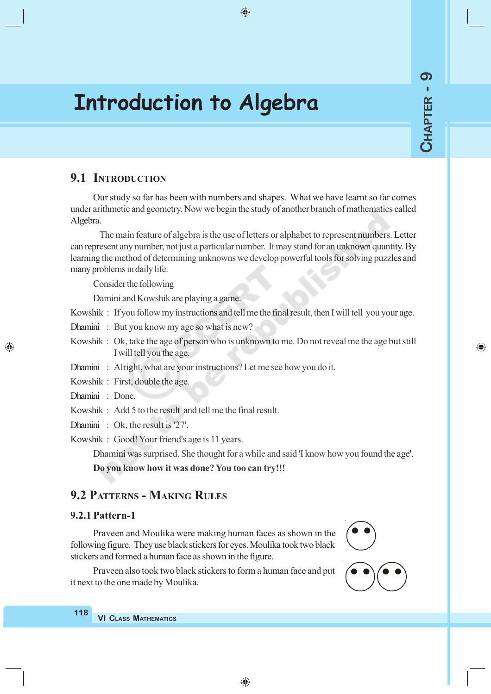⊕

# **Introduction to Algebra**

## **9.1 INTRODUCTION**

Our study so far has been with numbers and shapes. What we have learnt so far comes under arithmetic and geometry. Now we begin the study of another branch of mathematics called Algebra.

 $\bigoplus$ 

The main feature of algebra is the use of letters or alphabet to represent numbers. Letter can represent any number, not just a particular number. It may stand for an unknown quantity. By learning the method of determining unknowns we develop powerful tools for solving puzzles and many problems in daily life.

Consider the following

Damini and Kowshik are playing a game.

Kowshik : If you follow my instructions and tell me the final result, then I will tell you your age.

Dhamini : But you know my age so what is new?

Kowshik : Ok, take the age of person who is unknown to me. Do not reveal me the age but still I will tell you the age.

Dhamini : Alright, what are your instructions? Let me see how you do it.

Kowshik : First, double the age.

Dhamini : Done.

◈

Kowshik : Add 5 to the result and tell me the final result.

Dhamini : Ok, the result is '27'.

Kowshik : Good! Your friend's age is 11 years.

Dhamini was surprised. She thought for a while and said 'I know how you found the age'.

**Do you know how it was done? You too can try!!!**

## **9.2 PATTERNS - MAKING RULES**

#### **9.2.1 Pattern-1**

Praveen and Moulika were making human faces as shown in the following figure. They use black stickers for eyes. Moulika took two black stickers and formed a human face as shown in the figure.

Praveen also took two black stickers to form a human face and put it next to the one made by Moulika.

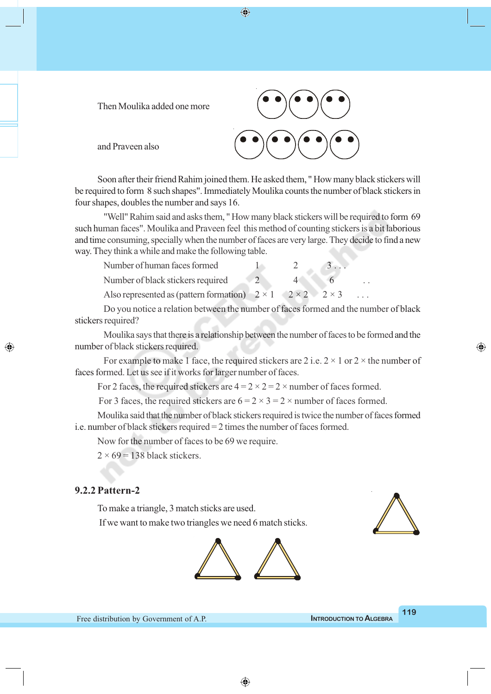Then Moulika added one more

Soon after their friend Rahim joined them. He asked them, " How many black stickers will be required to form 8 such shapes". Immediately Moulika counts the number of black stickers in four shapes, doubles the number and says 16.

 $\bigcirc$ 

"Well" Rahim said and asks them, " How many black stickers will be required to form 69 such human faces". Moulika and Praveen feel this method of counting stickers is a bit laborious and time consuming, specially when the number of faces are very large. They decide to find a new way. They think a while and make the following table.

| Number of human faces formed                                                   |  |  |
|--------------------------------------------------------------------------------|--|--|
| Number of black stickers required                                              |  |  |
| Also represented as (pattern formation) $2 \times 1$ $2 \times 2$ $2 \times 3$ |  |  |

Do you notice a relation between the number of faces formed and the number of black stickers required?

Moulika says that there is a relationship between the number of faces to be formed and the number of black stickers required.

For example to make 1 face, the required stickers are 2 i.e.  $2 \times 1$  or  $2 \times$  the number of faces formed. Let us see if it works for larger number of faces.

For 2 faces, the required stickers are  $4 = 2 \times 2 = 2 \times$  number of faces formed.

For 3 faces, the required stickers are  $6 = 2 \times 3 = 2 \times$  number of faces formed.

Moulika said that the number of black stickers required is twice the number of faces formed i.e. number of black stickers required = 2 times the number of faces formed.

Now for the number of faces to be 69 we require.

 $2 \times 69 = 138$  black stickers.

and Praveen also

#### **9.2.2 Pattern-2**

◈

To make a triangle, 3 match sticks are used.

If we want to make two triangles we need 6 match sticks.





◈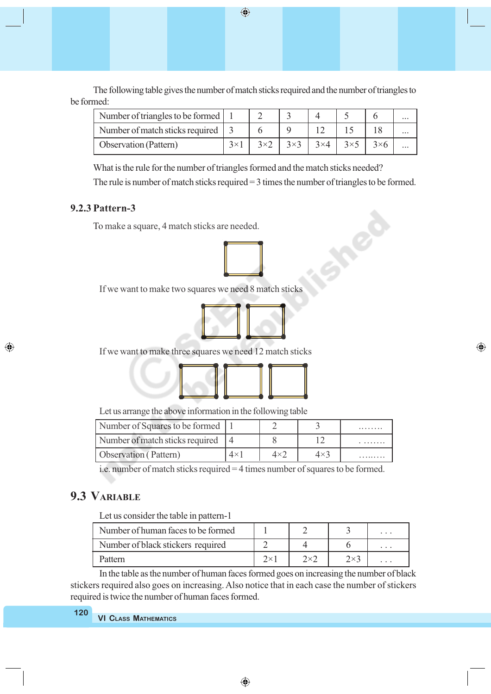The following table gives the number of match sticks required and the number of triangles to be formed:

 $\bigoplus$ 

| Number of triangles to be formed    |  |  |  | $\cdots$ |
|-------------------------------------|--|--|--|----------|
| Number of match sticks required   3 |  |  |  | $\cdots$ |
| <b>Observation</b> (Pattern)        |  |  |  | $\cdots$ |

What is the rule for the number of triangles formed and the match sticks needed?

The rule is number of match sticks required = 3 times the number of triangles to be formed.

#### **9.2.3 Pattern-3**

◈

To make a square, 4 match sticks are needed.



If we want to make two squares we need 8 match sticks



⊕

If we want to make three squares we need 12 match sticks



Let us arrange the above information in the following table

| Number of Squares to be formed    |            |           |             | . |
|-----------------------------------|------------|-----------|-------------|---|
| Number of match sticks required 4 |            |           |             |   |
| Observation (Pattern)             | $4\times1$ | $4\times$ | $4\times$ 3 |   |

i.e. number of match sticks required = 4 times number of squares to be formed.

## **9.3 VARIABLE**

Let us consider the table in pattern-1

| Number of human faces to be formed |           |              | $\cdots$ |
|------------------------------------|-----------|--------------|----------|
| Number of black stickers required  |           |              | .        |
| Pattern                            | $2\times$ | $2 \times 7$ | $\cdots$ |

In the table as the number of human faces formed goes on increasing the number of black stickers required also goes on increasing. Also notice that in each case the number of stickers required is twice the number of human faces formed.

| 120 |                             |
|-----|-----------------------------|
|     | <b>VI CLASS MATHEMATICS</b> |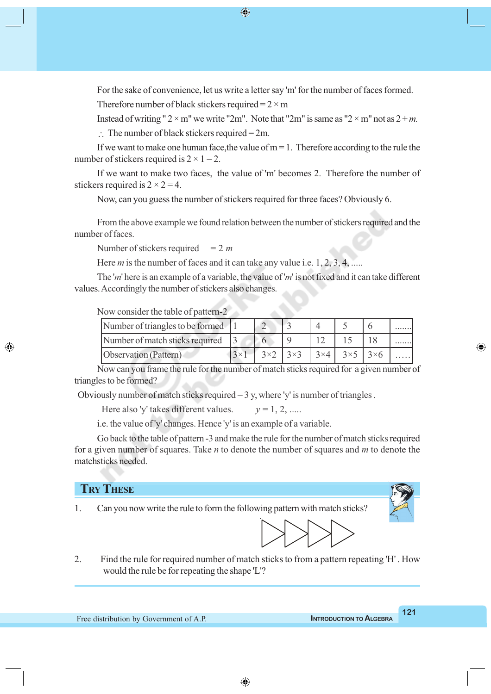For the sake of convenience, let us write a letter say 'm' for the number of faces formed.

 $\bigcirc$ 

Therefore number of black stickers required =  $2 \times m$ 

Instead of writing "  $2 \times m$ " we write "2m". Note that "2m" is same as " $2 \times m$ " not as  $2 + m$ .

 $\therefore$  The number of black stickers required = 2m.

If we want to make one human face, the value of  $m = 1$ . Therefore according to the rule the number of stickers required is  $2 \times 1 = 2$ .

If we want to make two faces, the value of 'm' becomes 2. Therefore the number of stickers required is  $2 \times 2 = 4$ .

Now, can you guess the number of stickers required for three faces? Obviously 6.

From the above example we found relation between the number of stickers required and the number of faces.

Number of stickers required  $= 2 m$ 

Here *m* is the number of faces and it can take any value i.e. 1, 2, 3, 4, .....

The '*m*' here is an example of a variable, the value of '*m*' is not fixed and it can take different values. Accordingly the number of stickers also changes.

Now consider the table of pattern-2

| Number of triangles to be formed 1 |  |  |                                                                          | . |
|------------------------------------|--|--|--------------------------------------------------------------------------|---|
| Number of match sticks required 3  |  |  |                                                                          |   |
| Observation (Pattern)              |  |  | $3 \times 2$ 3 $3 \times 3$ 3 $3 \times 4$ 3 $3 \times 5$ 3 $3 \times 6$ |   |

Now can you frame the rule for the number of match sticks required for a given number of triangles to be formed?

Obviously number of match sticks required  $= 3$  y, where 'y' is number of triangles.

Here also 'y' takes different values.  $y = 1, 2, ...$ 

i.e. the value of 'y' changes. Hence 'y' is an example of a variable.

Go back to the table of pattern -3 and make the rule for the number of match sticks required for a given number of squares. Take *n* to denote the number of squares and *m* to denote the matchsticks needed.

### **TRY THESE**

◈

1. Can you now write the rule to form the following pattern with match sticks?



2. Find the rule for required number of match sticks to from a pattern repeating 'H' . How would the rule be for repeating the shape 'L'?

◈

Free distribution by Government of A.P. **INTRODUCTION TO ALGEBRA**

**121**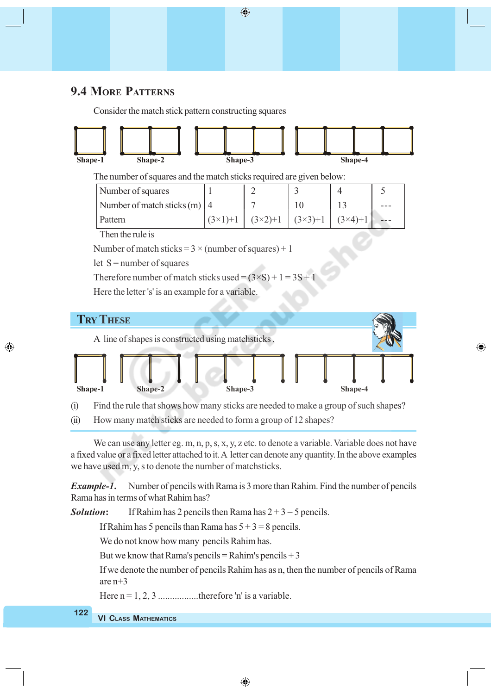## **9.4 MORE PATTERNS**

◈

Consider the match stick pattern constructing squares



 $\bigoplus$ 

(i) Find the rule that shows how many sticks are needed to make a group of such shapes?

⊕

**Shape-1 Shape-2 Shape-3 Shape-4**

(ii) How many match sticks are needed to form a group of 12 shapes?

We can use any letter eg. m, n, p, s, x, y, z etc. to denote a variable. Variable does not have a fixed value or a fixed letter attached to it. A letter can denote any quantity. In the above examples we have used m, y, s to denote the number of matchsticks.

*Example-1***.** Number of pencils with Rama is 3 more than Rahim. Find the number of pencils Rama has in terms of what Rahim has?

**Solution:** If Rahim has 2 pencils then Rama has  $2 + 3 = 5$  pencils.

If Rahim has 5 pencils than Rama has  $5 + 3 = 8$  pencils.

We do not know how many pencils Rahim has.

But we know that Rama's pencils = Rahim's pencils  $+3$ 

If we denote the number of pencils Rahim has as n, then the number of pencils of Rama are n+3

Here  $n = 1, 2, 3$  .................therefore 'n' is a variable.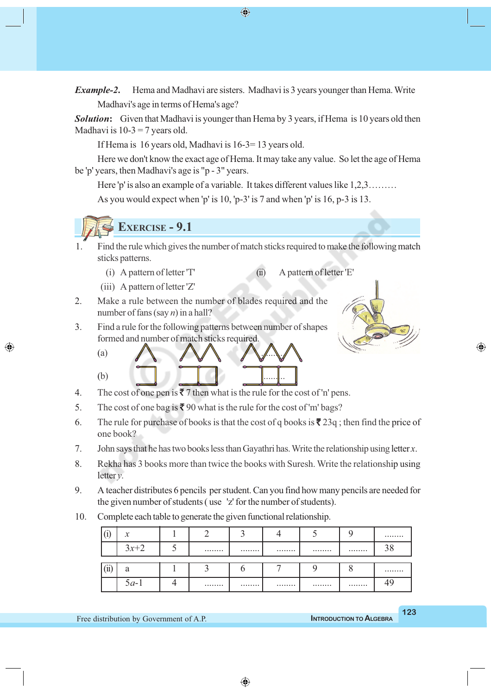*Example-2***.** Hema and Madhavi are sisters. Madhavi is 3 years younger than Hema. Write Madhavi's age in terms of Hema's age?

**Solution:** Given that Madhavi is younger than Hema by 3 years, if Hema is 10 years old then Madhavi is  $10-3 = 7$  years old.

If Hema is 16 years old, Madhavi is 16-3= 13 years old.

Here we don't know the exact age of Hema. It may take any value. So let the age of Hema be 'p' years, then Madhavi's age is "p - 3" years.

Here 'p' is also an example of a variable. It takes different values like 1,2,3……… As you would expect when 'p' is 10, 'p-3' is 7 and when 'p' is 16, p-3 is 13.



- 1. Find the rule which gives the number of match sticks required to make the following match sticks patterns.
	- (i) A pattern of letter 'T' (ii) A pattern of letter 'E'

(iii) A pattern of letter 'Z'

◈

2. Make a rule between the number of blades required and the number of fans (say *n*) in a hall?

3. Find a rule for the following patterns between number of shapes formed and number of match sticks required.





- 5. The cost of one bag is  $\bar{\mathbf{\mathsf{z}}}$  90 what is the rule for the cost of 'm' bags?
- 6. The rule for purchase of books is that the cost of q books is  $\bar{\mathbf{z}}$  23q; then find the price of one book?
- 7. John says that he has two books less than Gayathri has. Write the relationship using letter *x*.
- 8. Rekha has 3 books more than twice the books with Suresh. Write the relationship using letter *y*.
- 9. A teacher distributes 6 pencils per student. Can you find how many pencils are needed for the given number of students ( use 'z' for the number of students).
- 10. Complete each table to generate the given functional relationship.

|                                 | $\mathcal{X}$ |  |      |   |        |
|---------------------------------|---------------|--|------|---|--------|
|                                 | $3x+2$        |  | <br> | . | <br>38 |
| $\lambda$<br>$\left( 11\right)$ |               |  |      |   |        |
|                                 | $5a-1$        |  | <br> |   |        |

◈

◈

 $\bigoplus$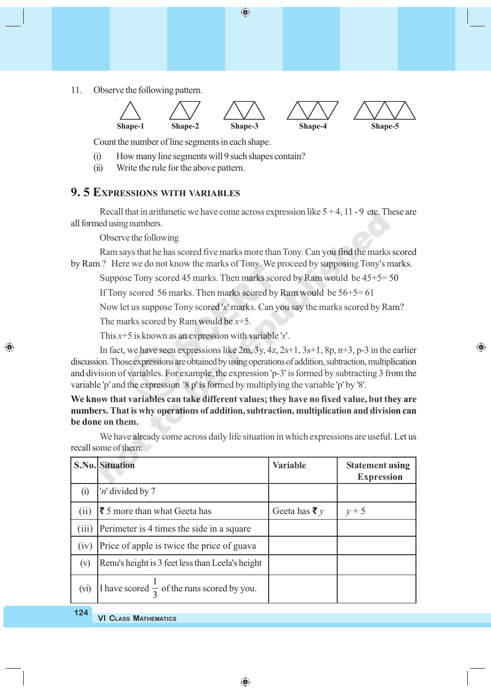11. Observe the following pattern.



 $\bigoplus$ 

Count the number of line segments in each shape.

- (i) How many line segments will 9 such shapes contain?
- (ii) Write the rule for the above pattern.

## **9. 5 EXPRESSIONS WITH VARIABLES**

Recall that in arithmetic we have come across expression like  $5 + 4$ , 11 - 9 etc. These are all formed using numbers.

Observe the following

Ram says that he has scored five marks more than Tony. Can you find the marks scored by Ram ? Here we do not know the marks of Tony. We proceed by supposing Tony's marks.

Suppose Tony scored 45 marks. Then marks scored by Ram would be 45+5= 50

If Tony scored 56 marks. Then marks scored by Ram would be 56+5= 61

Now let us suppose Tony scored '*x*' marks. Can you say the marks scored by Ram?

⊕

The marks scored by Ram would be *x*+5.

This *x*+5 is known as an expression with variable '*x*'.

In fact, we have seen expressions like  $2m$ ,  $3y$ ,  $4z$ ,  $2s+1$ ,  $3s+1$ ,  $8p$ ,  $n+3$ ,  $p-3$  in the earlier discussion. Those expressions are obtained by using operations of addition, subtraction, multiplication and division of variables. For example, the expression 'p-3' is formed by subtracting 3 from the variable 'p' and the expression '8 p' is formed by multiplying the variable 'p' by '8'.

**We know that variables can take different values; they have no fixed value, but they are numbers. That is why operations of addition, subtraction, multiplication and division can be done on them.**

We have already come across daily life situation in which expressions are useful. Let us recall some of them:

|       | <b>S.No.</b> Situation                                  | <b>Variable</b>          | <b>Statement using</b><br><b>Expression</b> |
|-------|---------------------------------------------------------|--------------------------|---------------------------------------------|
| (i)   | 'n' divided by 7                                        |                          |                                             |
| (ii)  | $\bar{\mathbf{\xi}}$ 5 more than what Geeta has         | Geeta has $\bar{\tau}$ y | $y+5$                                       |
| (iii) | Perimeter is 4 times the side in a square               |                          |                                             |
| (iv)  | Price of apple is twice the price of guava              |                          |                                             |
| (v)   | Renu's height is 3 feet less than Leela's height        |                          |                                             |
| (vi)  | I have scored $\frac{\ }{2}$ of the runs scored by you. |                          |                                             |

**124**

◈

**VI CLASS MATHEMATICS**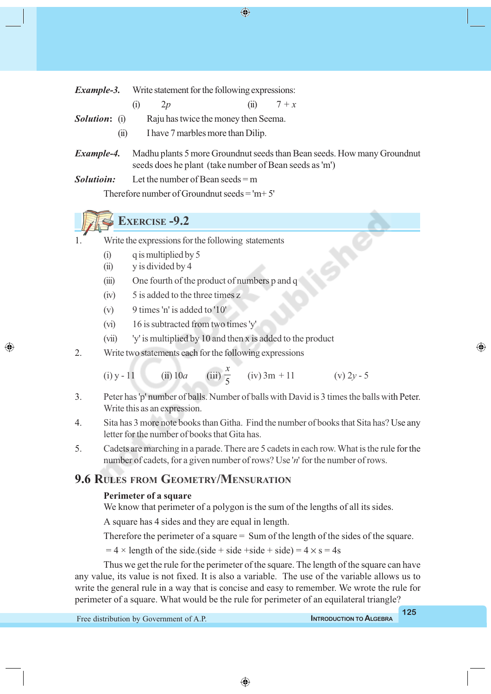$\bigcirc$ 

| Example-3. | Write statement for the following expressions: |  |
|------------|------------------------------------------------|--|
|------------|------------------------------------------------|--|

- (i)  $2p$  (ii)  $7 + x$
- **Solution:** (i) Raju has twice the money then Seema.
	- (ii) I have 7 marbles more than Dilip.
- *Example-4.* Madhu plants 5 more Groundnut seeds than Bean seeds. How many Groundnut seeds does he plant (take number of Bean seeds as 'm')

*Solutioin:* Let the number of Bean seeds = m Therefore number of Groundnut seeds  $=$  'm+ 5'

## **EXERCISE -9.2**

- Write the expressions for the following statements
	- (i) q is multiplied by 5
	- $(ii)$  v is divided by 4

◈

- (iii) One fourth of the product of numbers p and q
- (iv) 5 is added to the three times z
- (v) 9 times 'n' is added to '10'
- (vi) 16 is subtracted from two times 'y'
- (vii) 'y' is multiplied by 10 and then x is added to the product
- 2. Write two statements each for the following expressions

(i) y - 11 (ii) 10*a* (iii)  $\frac{1}{5}$ *x*  $(iv)$  3m + 11 (v) 2*y* - 5

- 3. Peter has 'p' number of balls. Number of balls with David is 3 times the balls with Peter. Write this as an expression.
- 4. Sita has 3 more note books than Githa. Find the number of books that Sita has? Use any letter for the number of books that Gita has.
- 5. Cadets are marching in a parade. There are 5 cadets in each row. What is the rule for the number of cadets, for a given number of rows? Use '*n*' for the number of rows.

## **9.6 RULES FROM GEOMETRY/MENSURATION**

#### **Perimeter of a square**

We know that perimeter of a polygon is the sum of the lengths of all its sides.

A square has 4 sides and they are equal in length.

Therefore the perimeter of a square = Sum of the length of the sides of the square.

 $= 4 \times$  length of the side.(side + side + side + side) =  $4 \times$  s = 4s

Thus we get the rule for the perimeter of the square. The length of the square can have any value, its value is not fixed. It is also a variable. The use of the variable allows us to write the general rule in a way that is concise and easy to remember. We wrote the rule for perimeter of a square. What would be the rule for perimeter of an equilateral triangle?

⊕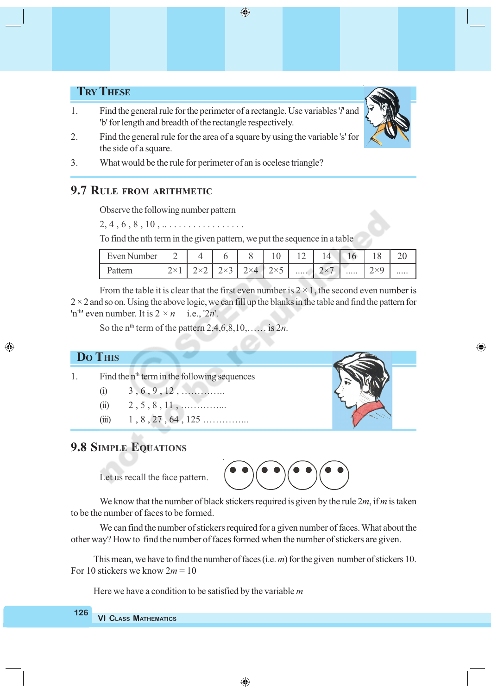$\bigoplus$ 

## **TRY THESE**

- 1. Find the general rule for the perimeter of a rectangle. Use variables '*l*' and 'b' for length and breadth of the rectangle respectively.
- 2. Find the general rule for the area of a square by using the variable 's' for the side of a square.
- 3. What would be the rule for perimeter of an is ocelese triangle?

## **9.7 RULE FROM ARITHMETIC**

Observe the following number pattern

 $2, 4, 6, 8, 10, \ldots$  . . . . . . . . . . . . . . .

To find the nth term in the given pattern, we put the sequence in a table

| Even Number                 |   |         | ν                        | ∽ |                      | ◡ |  |
|-----------------------------|---|---------|--------------------------|---|----------------------|---|--|
| $\mathbf{v}_{A1}$<br>auvill | - | ×4<br>∸ | $\overline{\phantom{a}}$ |   | $\cdots\cdots\cdots$ | ∽ |  |

From the table it is clear that the first even number is  $2 \times 1$ , the second even number is  $2 \times 2$  and so on. Using the above logic, we can fill up the blanks in the table and find the pattern for 'n<sup>th'</sup> even number. It is  $2 \times n$  i.e., '2*n*'.

So the n<sup>th</sup> term of the pattern  $2,4,6,8,10,$ …… is  $2n$ .

### **DO THIS**

◈

- 1. Find the  $n<sup>th</sup>$  term in the following sequences
	- (i) 3 , 6 , 9 , 12 , …………..
	- (ii)  $2, 5, 8, 11, \dots$
	- (iii)  $1, 8, 27, 64, 125 \ldots$

## **9.8 SIMPLE EQUATIONS**





We know that the number of black stickers required is given by the rule 2*m*, if *m* is taken to be the number of faces to be formed.

We can find the number of stickers required for a given number of faces. What about the other way? How to find the number of faces formed when the number of stickers are given.

This mean, we have to find the number of faces (i.e. *m*) for the given number of stickers 10. For 10 stickers we know 2*m* = 10

Here we have a condition to be satisfied by the variable *m*

#### **VI CLASS MATHEMATICS 126**

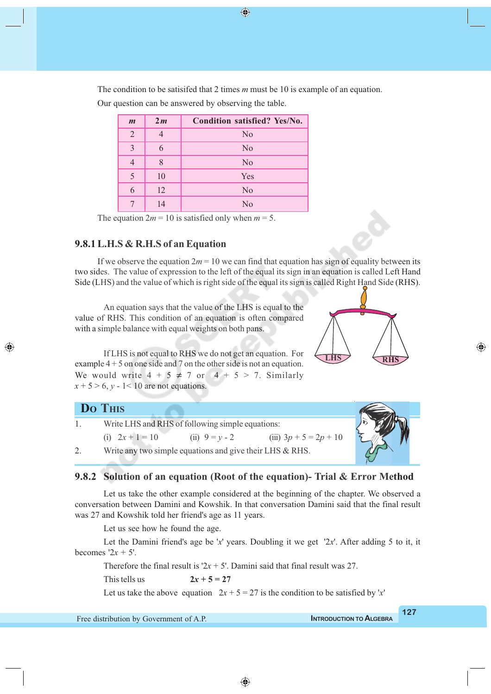The condition to be satisifed that 2 times *m* must be 10 is example of an equation. Our question can be answered by observing the table.

 $\bigcirc$ 

| $\boldsymbol{m}$ | 2m | Condition satisfied? Yes/No. |
|------------------|----|------------------------------|
| 2                |    | N <sub>0</sub>               |
| 3                | 6  | N <sub>0</sub>               |
|                  | 8  | N <sub>0</sub>               |
| 5                | 10 | Yes                          |
| 6                | 12 | N <sub>0</sub>               |
|                  | 14 | $\rm No$                     |

The equation  $2m = 10$  is satisfied only when  $m = 5$ .

#### **9.8.1 L.H.S & R.H.S of an Equation**

◈

If we observe the equation  $2m = 10$  we can find that equation has sign of equality between its two sides. The value of expression to the left of the equal its sign in an equation is called Left Hand Side (LHS) and the value of which is right side of the equal its sign is called Right Hand Side (RHS).

An equation says that the value of the LHS is equal to the value of RHS. This condition of an equation is often compared with a simple balance with equal weights on both pans.

If LHS is not equal to RHS we do not get an equation. For example  $4 + 5$  on one side and 7 on the other side is not an equation. We would write  $4 + 5 \neq 7$  or  $4 + 5 > 7$ . Similarly  $x + 5 > 6$ ,  $y - 1 < 10$  are not equations.

| Do This |                                                          |                  |                          |  |
|---------|----------------------------------------------------------|------------------|--------------------------|--|
|         | Write LHS and RHS of following simple equations:         |                  |                          |  |
|         | (i) $2x + 1 = 10$                                        | (ii) $9 = y - 2$ | (iii) $3p + 5 = 2p + 10$ |  |
|         | Write any two simple equations and give their LHS & RHS. |                  |                          |  |

#### **9.8.2 Solution of an equation (Root of the equation)- Trial & Error Method**

Let us take the other example considered at the beginning of the chapter. We observed a conversation between Damini and Kowshik. In that conversation Damini said that the final result was 27 and Kowshik told her friend's age as 11 years.

Let us see how he found the age.

Let the Damini friend's age be '*x*' years. Doubling it we get '2*x*'. After adding 5 to it, it becomes  $2x + 5$ .

Therefore the final result is ' $2x + 5$ '. Damini said that final result was 27.

This tells us  $2x + 5 = 27$ 

Let us take the above equation  $2x + 5 = 27$  is the condition to be satisfied by '*x*'

**LHS RHS**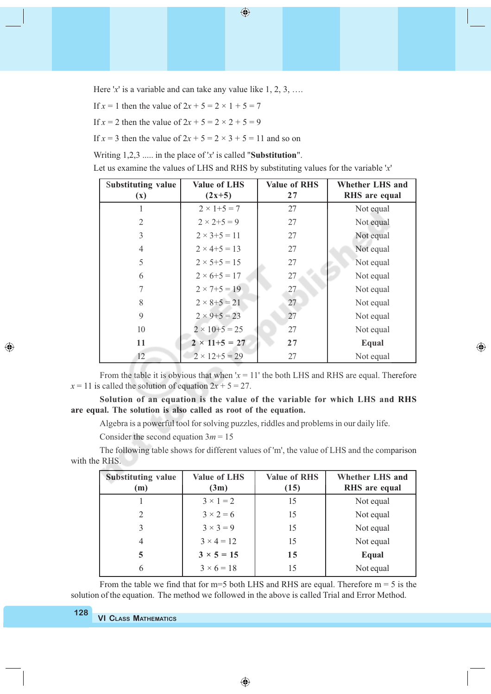$\bigoplus$ 

Here '*x*' is a variable and can take any value like 1, 2, 3, ...

If  $x = 1$  then the value of  $2x + 5 = 2 \times 1 + 5 = 7$ 

If  $x = 2$  then the value of  $2x + 5 = 2 \times 2 + 5 = 9$ 

If  $x = 3$  then the value of  $2x + 5 = 2 \times 3 + 5 = 11$  and so on

Writing 1,2,3 ..... in the place of '*x*' is called "**Substitution**".

Let us examine the values of LHS and RHS by substituting values for the variable '*x*'

| <b>Substituting value</b><br><b>Value of LHS</b> |                            | <b>Value of RHS</b> | <b>Whether LHS and</b> |  |
|--------------------------------------------------|----------------------------|---------------------|------------------------|--|
|                                                  | $(2x+5)$<br>$(\mathbf{x})$ |                     | RHS are equal          |  |
| 1                                                | $2 \times 1 + 5 = 7$       | 27                  | Not equal              |  |
| $\overline{2}$                                   | $2 \times 2 + 5 = 9$       | 27                  | Not equal              |  |
| 3                                                | $2 \times 3 + 5 = 11$      | 27                  | Not equal              |  |
| $\overline{4}$                                   | $2 \times 4 + 5 = 13$      | 27                  | Not equal              |  |
| 5                                                | $2 \times 5 + 5 = 15$      | 27                  | Not equal              |  |
| 6                                                | $2 \times 6 + 5 = 17$      | 27                  | Not equal              |  |
| 7                                                | $2 \times 7 + 5 = 19$      | 27                  | Not equal              |  |
| 8                                                | $2 \times 8 + 5 = 21$      | 27                  | Not equal              |  |
| 9                                                | $2 \times 9 + 5 = 23$      | 27                  | Not equal              |  |
| 10                                               | $2 \times 10 + 5 = 25$     | 27                  | Not equal              |  |
| 11                                               | $2 \times 11 + 5 = 27$     | 27                  | Equal                  |  |
| 12                                               | $2 \times 12 + 5 = 29$     | 27                  | Not equal              |  |

⊕

From the table it is obvious that when  $x = 11$ ' the both LHS and RHS are equal. Therefore  $x = 11$  is called the solution of equation  $2x + 5 = 27$ .

**Solution of an equation is the value of the variable for which LHS and RHS are equal. The solution is also called as root of the equation.**

Algebra is a powerful tool for solving puzzles, riddles and problems in our daily life.

Consider the second equation  $3m = 15$ 

The following table shows for different values of 'm', the value of LHS and the comparison with the RHS.

| <b>Substituting value</b><br>(m) | <b>Value of LHS</b><br>(3m) | <b>Value of RHS</b><br>(15) | <b>Whether LHS and</b><br>RHS are equal |
|----------------------------------|-----------------------------|-----------------------------|-----------------------------------------|
|                                  | $3 \times 1 = 2$            | 15                          | Not equal                               |
|                                  | $3 \times 2 = 6$            | 15                          | Not equal                               |
| 3                                | $3 \times 3 = 9$            | 15                          | Not equal                               |
| 4                                | $3 \times 4 = 12$           | 15                          | Not equal                               |
| 5                                | $3 \times 5 = 15$           | 15                          | Equal                                   |
| 6                                | $3 \times 6 = 18$           | 15                          | Not equal                               |

From the table we find that for  $m=5$  both LHS and RHS are equal. Therefore  $m=5$  is the solution of the equation. The method we followed in the above is called Trial and Error Method.